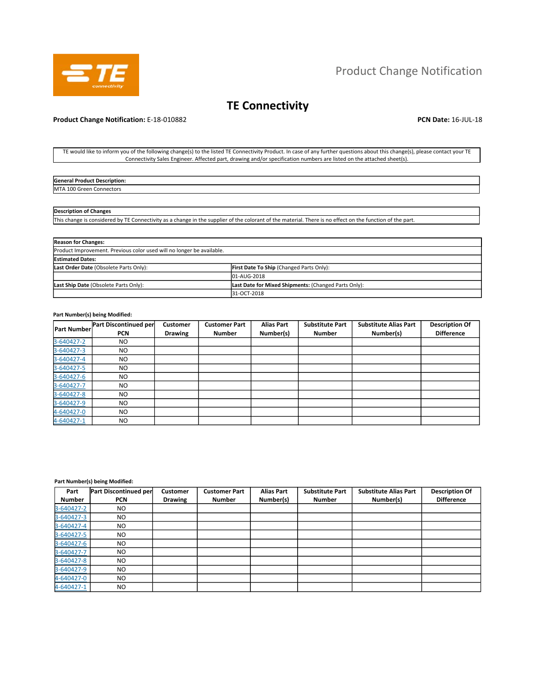

## Product Change Notification

# **TE Connectivity**

## **Product Change Notification:** E-18-010882 **PCN Date: 16-JUL-18 PCN Date: 16-JUL-18**

TE would like to inform you of the following change(s) to the listed TE Connectivity Product. In case of any further questions about this change(s), please contact your TE Connectivity Sales Engineer. Affected part, drawing and/or specification numbers are listed on the attached sheet(s).

| <b>General Product Description:</b>       |  |
|-------------------------------------------|--|
| <b>MTA 100</b><br>ነ Connectors<br>, Green |  |

## **Description of Changes**

This change is considered by TE Connectivity as a change in the supplier of the colorant of the material. There is no effect on the function of the part.

| <b>Reason for Changes:</b>                                            |                                                      |  |  |
|-----------------------------------------------------------------------|------------------------------------------------------|--|--|
| Product Improvement. Previous color used will no longer be available. |                                                      |  |  |
| <b>Estimated Dates:</b>                                               |                                                      |  |  |
| Last Order Date (Obsolete Parts Only):                                | First Date To Ship (Changed Parts Only):             |  |  |
|                                                                       | 01-AUG-2018                                          |  |  |
| Last Ship Date (Obsolete Parts Only):                                 | Last Date for Mixed Shipments: (Changed Parts Only): |  |  |
|                                                                       | 31-OCT-2018                                          |  |  |

#### **Part Number(s) being Modified:**

| <b>Part Number</b> | Part Discontinued per | Customer       | <b>Customer Part</b> | <b>Alias Part</b> | <b>Substitute Part</b> | <b>Substitute Alias Part</b> | <b>Description Of</b> |
|--------------------|-----------------------|----------------|----------------------|-------------------|------------------------|------------------------------|-----------------------|
|                    | <b>PCN</b>            | <b>Drawing</b> | <b>Number</b>        | Number(s)         | <b>Number</b>          | Number(s)                    | <b>Difference</b>     |
| 3-640427-2         | NO.                   |                |                      |                   |                        |                              |                       |
| 3-640427-3         | NO.                   |                |                      |                   |                        |                              |                       |
| 3-640427-4         | NO.                   |                |                      |                   |                        |                              |                       |
| 3-640427-5         | NO.                   |                |                      |                   |                        |                              |                       |
| 3-640427-6         | NO.                   |                |                      |                   |                        |                              |                       |
| 3-640427-7         | NO.                   |                |                      |                   |                        |                              |                       |
| 3-640427-8         | NO.                   |                |                      |                   |                        |                              |                       |
| 3-640427-9         | NO.                   |                |                      |                   |                        |                              |                       |
| 4-640427-0         | <b>NO</b>             |                |                      |                   |                        |                              |                       |
| 4-640427-1         | NO.                   |                |                      |                   |                        |                              |                       |

## **Part Number(s) being Modified:**

| Part<br><b>Number</b> | Part Discontinued per<br><b>PCN</b> | <b>Customer</b><br><b>Drawing</b> | <b>Customer Part</b><br><b>Number</b> | <b>Alias Part</b><br>Number(s) | <b>Substitute Part</b><br><b>Number</b> | <b>Substitute Alias Part</b><br>Number(s) | <b>Description Of</b><br><b>Difference</b> |
|-----------------------|-------------------------------------|-----------------------------------|---------------------------------------|--------------------------------|-----------------------------------------|-------------------------------------------|--------------------------------------------|
| 3-640427-2            | NO.                                 |                                   |                                       |                                |                                         |                                           |                                            |
| 3-640427-3            | NO.                                 |                                   |                                       |                                |                                         |                                           |                                            |
| 3-640427-4            | NO                                  |                                   |                                       |                                |                                         |                                           |                                            |
| 3-640427-5            | NO                                  |                                   |                                       |                                |                                         |                                           |                                            |
| 3-640427-6            | NO                                  |                                   |                                       |                                |                                         |                                           |                                            |
| 3-640427-7            | NO.                                 |                                   |                                       |                                |                                         |                                           |                                            |
| 3-640427-8            | NO                                  |                                   |                                       |                                |                                         |                                           |                                            |
| 3-640427-9            | NO.                                 |                                   |                                       |                                |                                         |                                           |                                            |
| 4-640427-0            | NO.                                 |                                   |                                       |                                |                                         |                                           |                                            |
| 4-640427-1            | NO.                                 |                                   |                                       |                                |                                         |                                           |                                            |